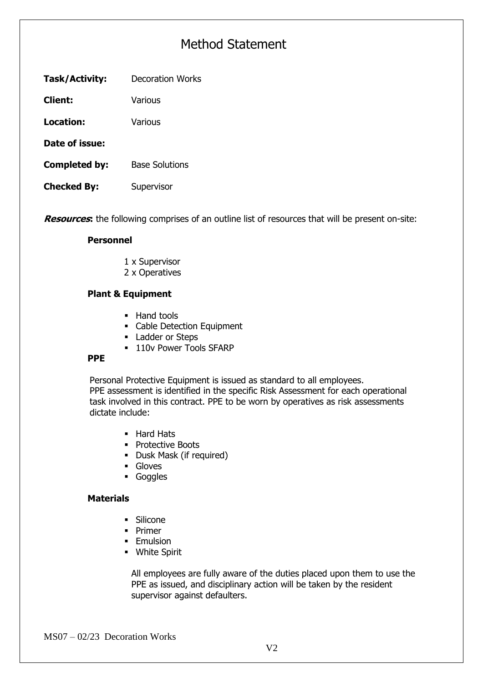## Method Statement

| Task/Activity:<br><b>Decoration Works</b> |
|-------------------------------------------|
|-------------------------------------------|

**Client:** Various

**Location:** Various

**Date of issue:**

- **Completed by:** Base Solutions
- **Checked By:** Supervisor

**Resources:** the following comprises of an outline list of resources that will be present on-site:

#### **Personnel**

- 1 x Supervisor
- 2 x Operatives

#### **Plant & Equipment**

- Hand tools
- Cable Detection Equipment
- Ladder or Steps
- **110v Power Tools SFARP**

#### **PPE**

Personal Protective Equipment is issued as standard to all employees. PPE assessment is identified in the specific Risk Assessment for each operational task involved in this contract. PPE to be worn by operatives as risk assessments dictate include:

- Hard Hats
- Protective Boots
- Dusk Mask (if required)
- Gloves
- Goggles

#### **Materials**

- Silicone
- Primer
- **Emulsion**
- White Spirit

All employees are fully aware of the duties placed upon them to use the PPE as issued, and disciplinary action will be taken by the resident supervisor against defaulters.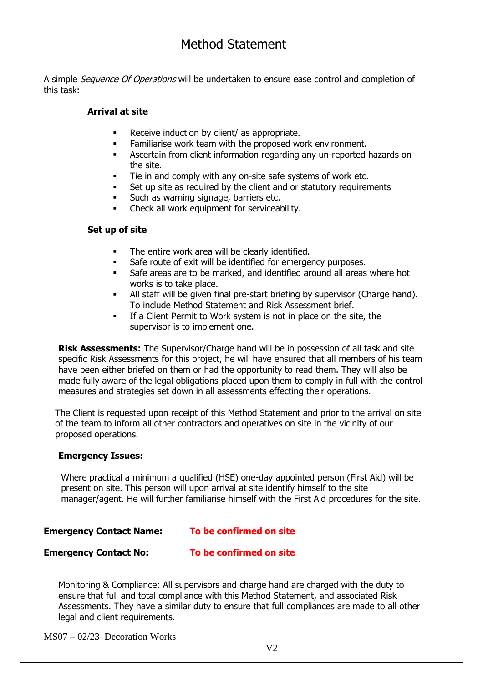### Method Statement

A simple *Sequence Of Operations* will be undertaken to ensure ease control and completion of this task:

#### **Arrival at site**

- Receive induction by client/ as appropriate.
- Familiarise work team with the proposed work environment.
- Ascertain from client information regarding any un-reported hazards on the site.
- Tie in and comply with any on-site safe systems of work etc.
- Set up site as required by the client and or statutory requirements
- Such as warning signage, barriers etc.
- Check all work equipment for serviceability.

#### **Set up of site**

- The entire work area will be clearly identified.
- Safe route of exit will be identified for emergency purposes.
- Safe areas are to be marked, and identified around all areas where hot works is to take place.
- All staff will be given final pre-start briefing by supervisor (Charge hand). To include Method Statement and Risk Assessment brief.
- If a Client Permit to Work system is not in place on the site, the supervisor is to implement one.

**Risk Assessments:** The Supervisor/Charge hand will be in possession of all task and site specific Risk Assessments for this project, he will have ensured that all members of his team have been either briefed on them or had the opportunity to read them. They will also be made fully aware of the legal obligations placed upon them to comply in full with the control measures and strategies set down in all assessments effecting their operations.

The Client is requested upon receipt of this Method Statement and prior to the arrival on site of the team to inform all other contractors and operatives on site in the vicinity of our proposed operations.

#### **Emergency Issues:**

Where practical a minimum a qualified (HSE) one-day appointed person (First Aid) will be present on site. This person will upon arrival at site identify himself to the site manager/agent. He will further familiarise himself with the First Aid procedures for the site.

### **Emergency Contact Name: To be confirmed on site**

**Emergency Contact No: To be confirmed on site**

Monitoring & Compliance: All supervisors and charge hand are charged with the duty to ensure that full and total compliance with this Method Statement, and associated Risk Assessments. They have a similar duty to ensure that full compliances are made to all other legal and client requirements.

MS07 – 02/23 Decoration Works